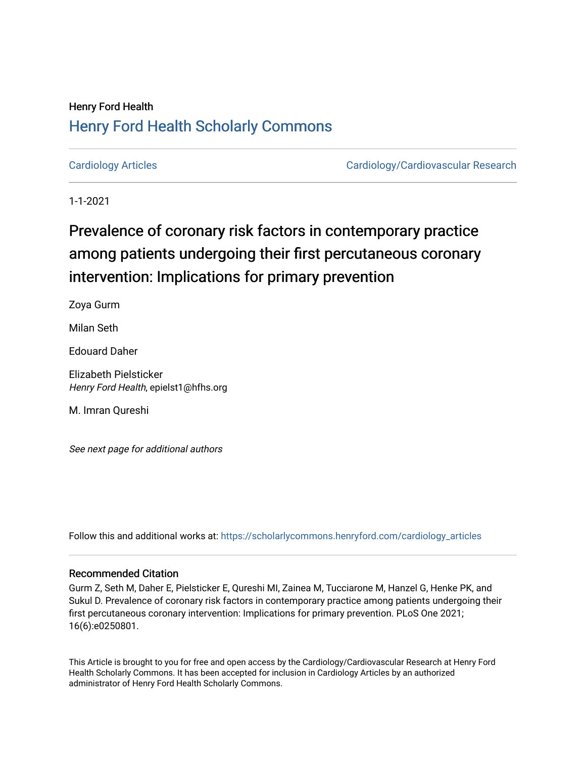## Henry Ford Health [Henry Ford Health Scholarly Commons](https://scholarlycommons.henryford.com/)

[Cardiology Articles](https://scholarlycommons.henryford.com/cardiology_articles) [Cardiology/Cardiovascular Research](https://scholarlycommons.henryford.com/cardiology) 

1-1-2021

# Prevalence of coronary risk factors in contemporary practice among patients undergoing their first percutaneous coronary intervention: Implications for primary prevention

Zoya Gurm

Milan Seth

Edouard Daher

Elizabeth Pielsticker Henry Ford Health, epielst1@hfhs.org

M. Imran Qureshi

See next page for additional authors

Follow this and additional works at: [https://scholarlycommons.henryford.com/cardiology\\_articles](https://scholarlycommons.henryford.com/cardiology_articles?utm_source=scholarlycommons.henryford.com%2Fcardiology_articles%2F764&utm_medium=PDF&utm_campaign=PDFCoverPages)

## Recommended Citation

Gurm Z, Seth M, Daher E, Pielsticker E, Qureshi MI, Zainea M, Tucciarone M, Hanzel G, Henke PK, and Sukul D. Prevalence of coronary risk factors in contemporary practice among patients undergoing their first percutaneous coronary intervention: Implications for primary prevention. PLoS One 2021; 16(6):e0250801.

This Article is brought to you for free and open access by the Cardiology/Cardiovascular Research at Henry Ford Health Scholarly Commons. It has been accepted for inclusion in Cardiology Articles by an authorized administrator of Henry Ford Health Scholarly Commons.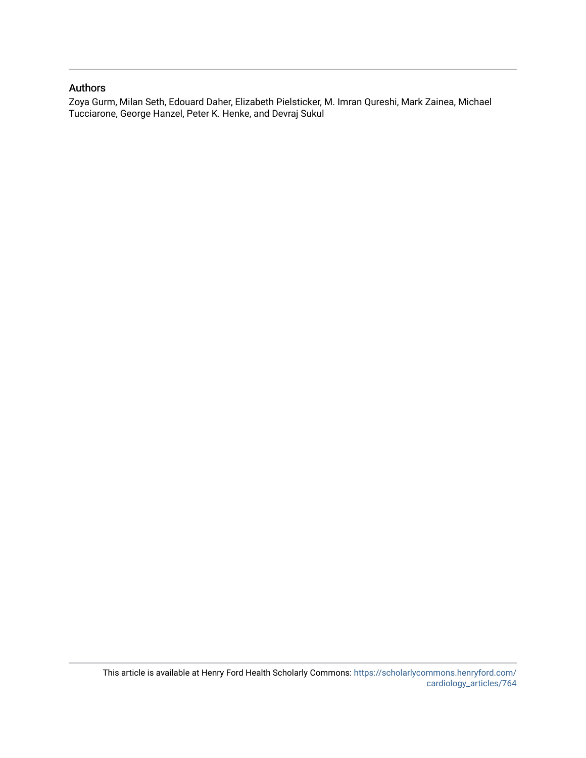### Authors

Zoya Gurm, Milan Seth, Edouard Daher, Elizabeth Pielsticker, M. Imran Qureshi, Mark Zainea, Michael Tucciarone, George Hanzel, Peter K. Henke, and Devraj Sukul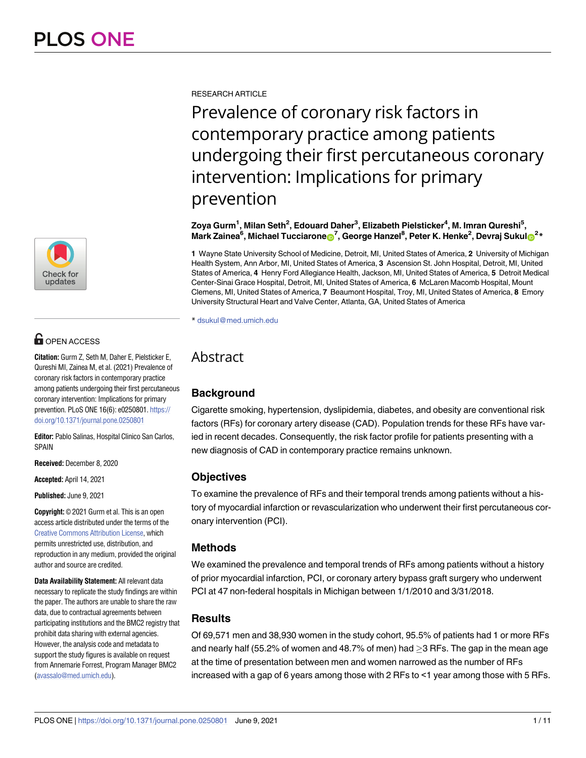

## **OPEN ACCESS**

**Citation:** Gurm Z, Seth M, Daher E, Pielsticker E, Qureshi MI, Zainea M, et al. (2021) Prevalence of coronary risk factors in contemporary practice among patients undergoing their first percutaneous coronary intervention: Implications for primary prevention. PLoS ONE 16(6): e0250801. [https://](https://doi.org/10.1371/journal.pone.0250801) [doi.org/10.1371/journal.pone.0250801](https://doi.org/10.1371/journal.pone.0250801)

**Editor:** Pablo Salinas, Hospital Clinico San Carlos, SPAIN

**Received:** December 8, 2020

**Accepted:** April 14, 2021

**Published:** June 9, 2021

**Copyright:** © 2021 Gurm et al. This is an open access article distributed under the terms of the Creative Commons [Attribution](http://creativecommons.org/licenses/by/4.0/) License, which permits unrestricted use, distribution, and reproduction in any medium, provided the original author and source are credited.

**Data Availability Statement:** All relevant data necessary to replicate the study findings are within the paper. The authors are unable to share the raw data, due to contractual agreements between participating institutions and the BMC2 registry that prohibit data sharing with external agencies. However, the analysis code and metadata to support the study figures is available on request from Annemarie Forrest, Program Manager BMC2 [\(avassalo@med.umich.edu](mailto:avassalo@med.umich.edu)).

RESEARCH ARTICLE

Prevalence of coronary risk factors in contemporary practice among patients undergoing their first percutaneous coronary intervention: Implications for primary prevention

**Zoya Gurm1 , Milan Seth2 , Edouard Daher3 , Elizabeth Pielsticker4 , M. Imran Qureshi5 ,**  $\blacksquare$ **Mark Zainea** $^6$ **, Michael Tucciarone** $\blacksquare^7$ **, George Hanzel** $^8$ **, Peter K. Henke** $^2$ **, Devraj Sukul** $\blacksquare^2{}^*$ 

**1** Wayne State University School of Medicine, Detroit, MI, United States of America, **2** University of Michigan Health System, Ann Arbor, MI, United States of America, **3** Ascension St. John Hospital, Detroit, MI, United States of America, **4** Henry Ford Allegiance Health, Jackson, MI, United States of America, **5** Detroit Medical Center-Sinai Grace Hospital, Detroit, MI, United States of America, **6** McLaren Macomb Hospital, Mount Clemens, MI, United States of America, **7** Beaumont Hospital, Troy, MI, United States of America, **8** Emory University Structural Heart and Valve Center, Atlanta, GA, United States of America

\* dsukul@med.umich.edu

## Abstract

## **Background**

Cigarette smoking, hypertension, dyslipidemia, diabetes, and obesity are conventional risk factors (RFs) for coronary artery disease (CAD). Population trends for these RFs have varied in recent decades. Consequently, the risk factor profile for patients presenting with a new diagnosis of CAD in contemporary practice remains unknown.

## **Objectives**

To examine the prevalence of RFs and their temporal trends among patients without a history of myocardial infarction or revascularization who underwent their first percutaneous coronary intervention (PCI).

## **Methods**

We examined the prevalence and temporal trends of RFs among patients without a history of prior myocardial infarction, PCI, or coronary artery bypass graft surgery who underwent PCI at 47 non-federal hospitals in Michigan between 1/1/2010 and 3/31/2018.

## **Results**

Of 69,571 men and 38,930 women in the study cohort, 95.5% of patients had 1 or more RFs and nearly half (55.2% of women and 48.7% of men) had  $>$ 3 RFs. The gap in the mean age at the time of presentation between men and women narrowed as the number of RFs increased with a gap of 6 years among those with 2 RFs to <1 year among those with 5 RFs.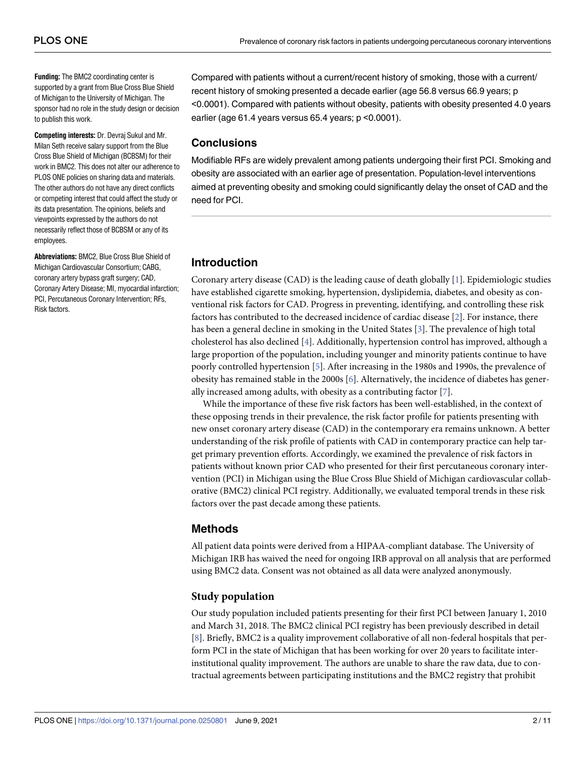<span id="page-3-0"></span>**Funding:** The BMC2 coordinating center is supported by a grant from Blue Cross Blue Shield of Michigan to the University of Michigan. The sponsor had no role in the study design or decision to publish this work.

**Competing interests:** Dr. Devraj Sukul and Mr. Milan Seth receive salary support from the Blue Cross Blue Shield of Michigan (BCBSM) for their work in BMC2. This does not alter our adherence to PLOS ONE policies on sharing data and materials. The other authors do not have any direct conflicts or competing interest that could affect the study or its data presentation. The opinions, beliefs and viewpoints expressed by the authors do not necessarily reflect those of BCBSM or any of its employees.

**Abbreviations:** BMC2, Blue Cross Blue Shield of Michigan Cardiovascular Consortium; CABG, coronary artery bypass graft surgery; CAD, Coronary Artery Disease; MI, myocardial infarction; PCI, Percutaneous Coronary Intervention; RFs, Risk factors.

Compared with patients without a current/recent history of smoking, those with a current/ recent history of smoking presented a decade earlier (age 56.8 versus 66.9 years; p <0.0001). Compared with patients without obesity, patients with obesity presented 4.0 years earlier (age 61.4 years versus 65.4 years; p <0.0001).

#### **Conclusions**

Modifiable RFs are widely prevalent among patients undergoing their first PCI. Smoking and obesity are associated with an earlier age of presentation. Population-level interventions aimed at preventing obesity and smoking could significantly delay the onset of CAD and the need for PCI.

### **Introduction**

Coronary artery disease (CAD) is the leading cause of death globally [\[1](#page-11-0)]. Epidemiologic studies have established cigarette smoking, hypertension, dyslipidemia, diabetes, and obesity as conventional risk factors for CAD. Progress in preventing, identifying, and controlling these risk factors has contributed to the decreased incidence of cardiac disease [\[2](#page-11-0)]. For instance, there has been a general decline in smoking in the United States [\[3](#page-11-0)]. The prevalence of high total cholesterol has also declined [\[4\]](#page-11-0). Additionally, hypertension control has improved, although a large proportion of the population, including younger and minority patients continue to have poorly controlled hypertension [\[5](#page-11-0)]. After increasing in the 1980s and 1990s, the prevalence of obesity has remained stable in the 2000s [\[6](#page-11-0)]. Alternatively, the incidence of diabetes has generally increased among adults, with obesity as a contributing factor [[7](#page-11-0)].

While the importance of these five risk factors has been well-established, in the context of these opposing trends in their prevalence, the risk factor profile for patients presenting with new onset coronary artery disease (CAD) in the contemporary era remains unknown. A better understanding of the risk profile of patients with CAD in contemporary practice can help target primary prevention efforts. Accordingly, we examined the prevalence of risk factors in patients without known prior CAD who presented for their first percutaneous coronary intervention (PCI) in Michigan using the Blue Cross Blue Shield of Michigan cardiovascular collaborative (BMC2) clinical PCI registry. Additionally, we evaluated temporal trends in these risk factors over the past decade among these patients.

## **Methods**

All patient data points were derived from a HIPAA-compliant database. The University of Michigan IRB has waived the need for ongoing IRB approval on all analysis that are performed using BMC2 data. Consent was not obtained as all data were analyzed anonymously.

### **Study population**

Our study population included patients presenting for their first PCI between January 1, 2010 and March 31, 2018. The BMC2 clinical PCI registry has been previously described in detail [\[8](#page-11-0)]. Briefly, BMC2 is a quality improvement collaborative of all non-federal hospitals that perform PCI in the state of Michigan that has been working for over 20 years to facilitate interinstitutional quality improvement. The authors are unable to share the raw data, due to contractual agreements between participating institutions and the BMC2 registry that prohibit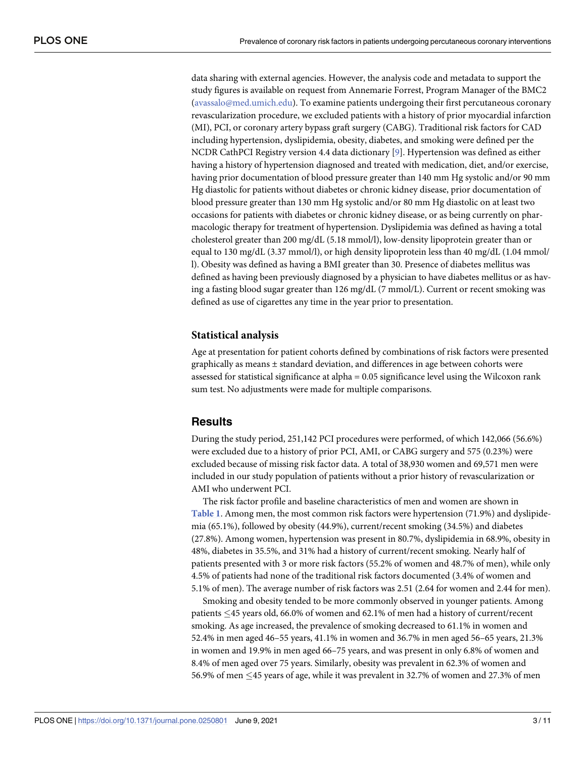<span id="page-4-0"></span>data sharing with external agencies. However, the analysis code and metadata to support the study figures is available on request from Annemarie Forrest, Program Manager of the BMC2 (avassalo@med.umich.edu). To examine patients undergoing their first percutaneous coronary revascularization procedure, we excluded patients with a history of prior myocardial infarction (MI), PCI, or coronary artery bypass graft surgery (CABG). Traditional risk factors for CAD including hypertension, dyslipidemia, obesity, diabetes, and smoking were defined per the NCDR CathPCI Registry version 4.4 data dictionary [[9\]](#page-12-0). Hypertension was defined as either having a history of hypertension diagnosed and treated with medication, diet, and/or exercise, having prior documentation of blood pressure greater than 140 mm Hg systolic and/or 90 mm Hg diastolic for patients without diabetes or chronic kidney disease, prior documentation of blood pressure greater than 130 mm Hg systolic and/or 80 mm Hg diastolic on at least two occasions for patients with diabetes or chronic kidney disease, or as being currently on pharmacologic therapy for treatment of hypertension. Dyslipidemia was defined as having a total cholesterol greater than 200 mg/dL (5.18 mmol/l), low-density lipoprotein greater than or equal to 130 mg/dL (3.37 mmol/l), or high density lipoprotein less than 40 mg/dL (1.04 mmol/ l). Obesity was defined as having a BMI greater than 30. Presence of diabetes mellitus was defined as having been previously diagnosed by a physician to have diabetes mellitus or as having a fasting blood sugar greater than 126 mg/dL (7 mmol/L). Current or recent smoking was defined as use of cigarettes any time in the year prior to presentation.

#### **Statistical analysis**

Age at presentation for patient cohorts defined by combinations of risk factors were presented graphically as means  $\pm$  standard deviation, and differences in age between cohorts were assessed for statistical significance at alpha = 0.05 significance level using the Wilcoxon rank sum test. No adjustments were made for multiple comparisons.

#### **Results**

During the study period, 251,142 PCI procedures were performed, of which 142,066 (56.6%) were excluded due to a history of prior PCI, AMI, or CABG surgery and 575 (0.23%) were excluded because of missing risk factor data. A total of 38,930 women and 69,571 men were included in our study population of patients without a prior history of revascularization or AMI who underwent PCI.

The risk factor profile and baseline characteristics of men and women are shown in **[Table](#page-5-0) 1**. Among men, the most common risk factors were hypertension (71.9%) and dyslipidemia (65.1%), followed by obesity (44.9%), current/recent smoking (34.5%) and diabetes (27.8%). Among women, hypertension was present in 80.7%, dyslipidemia in 68.9%, obesity in 48%, diabetes in 35.5%, and 31% had a history of current/recent smoking. Nearly half of patients presented with 3 or more risk factors (55.2% of women and 48.7% of men), while only 4.5% of patients had none of the traditional risk factors documented (3.4% of women and 5.1% of men). The average number of risk factors was 2.51 (2.64 for women and 2.44 for men).

Smoking and obesity tended to be more commonly observed in younger patients. Among patients �45 years old, 66.0% of women and 62.1% of men had a history of current/recent smoking. As age increased, the prevalence of smoking decreased to 61.1% in women and 52.4% in men aged 46–55 years, 41.1% in women and 36.7% in men aged 56–65 years, 21.3% in women and 19.9% in men aged 66–75 years, and was present in only 6.8% of women and 8.4% of men aged over 75 years. Similarly, obesity was prevalent in 62.3% of women and 56.9% of men �45 years of age, while it was prevalent in 32.7% of women and 27.3% of men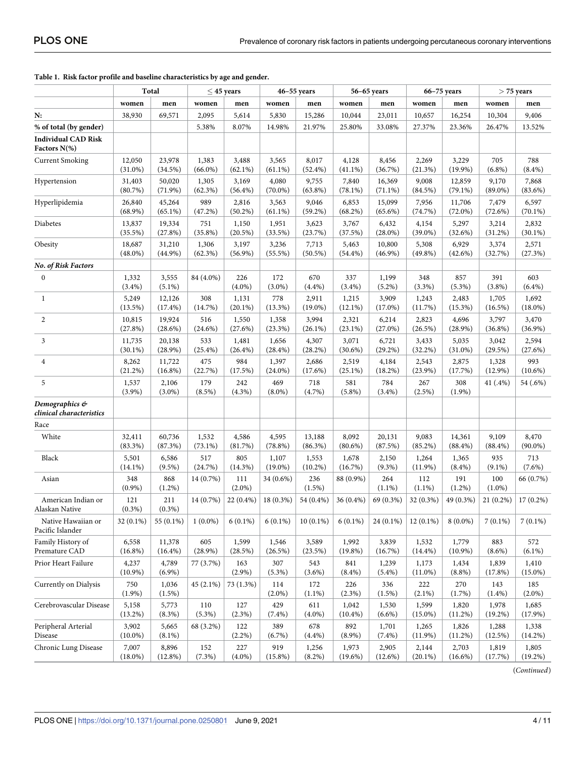|                                            | Total               |                    | $<$ 45 years  |                  | $46 - 55$ years  |                  | 56-65 years      |                    | $66 - 75$ years     |                  | $>$ 75 years     |                     |
|--------------------------------------------|---------------------|--------------------|---------------|------------------|------------------|------------------|------------------|--------------------|---------------------|------------------|------------------|---------------------|
|                                            | women               | men                | women         | men              | women            | men              | women            | men                | women               | men              | women            | men                 |
| N:                                         | 38,930              | 69,571             | 2,095         | 5,614            | 5,830            | 15,286           | 10,044           | 23,011             | 10,657              | 16,254           | 10,304           | 9,406               |
| % of total (by gender)                     |                     |                    | 5.38%         | 8.07%            | 14.98%           | 21.97%           | 25.80%           | 33.08%             | 27.37%              | 23.36%           | 26.47%           | 13.52%              |
| <b>Individual CAD Risk</b><br>Factors N(%) |                     |                    |               |                  |                  |                  |                  |                    |                     |                  |                  |                     |
| <b>Current Smoking</b>                     | 12,050              | 23,978             | 1,383         | 3,488            | 3,565            | 8,017            | 4,128            | 8,456              | 2,269               | 3,229            | 705              | 788                 |
|                                            | $(31.0\%)$          | (34.5%)            | $(66.0\%)$    | $(62.1\%)$       | $(61.1\%)$       | $(52.4\%)$       | $(41.1\%)$       | (36.7%)            | (21.3%)             | $(19.9\%)$       | $(6.8\%)$        | $(8.4\%)$           |
| Hypertension                               | 31,403              | 50,020             | 1,305         | 3,169            | 4,080            | 9,755            | 7,840            | 16,369             | 9,008               | 12,859           | 9,170            | 7,868               |
|                                            | (80.7%)             | $(71.9\%)$         | (62.3%)       | $(56.4\%)$       | $(70.0\%)$       | $(63.8\%)$       | (78.1%)          | $(71.1\%)$         | (84.5%)             | $(79.1\%)$       | $(89.0\%)$       | (83.6%)             |
| Hyperlipidemia                             | 26,840              | 45,264             | 989           | 2,816            | 3,563            | 9,046            | 6,853            | 15,099             | 7,956               | 11,706           | 7,479            | 6,597               |
|                                            | $(68.9\%)$          | $(65.1\%)$         | (47.2%)       | $(50.2\%)$       | $(61.1\%)$       | $(59.2\%)$       | $(68.2\%)$       | $(65.6\%)$         | (74.7%)             | $(72.0\%)$       | (72.6%)          | $(70.1\%)$          |
| Diabetes                                   | 13,837              | 19,334             | 751           | 1,150            | 1,951            | 3,623            | 3,767            | 6,432              | 4,154               | 5,297            | 3,214            | 2,832               |
|                                            | $(35.5\%)$          | (27.8%)            | $(35.8\%)$    | $(20.5\%)$       | (33.5%)          | (23.7%)          | (37.5%)          | $(28.0\%)$         | $(39.0\%)$          | (32.6%)          | (31.2%)          | $(30.1\%)$          |
| Obesity                                    | 18,687              | 31,210             | 1,306         | 3,197            | 3,236            | 7,713            | 5,463            | 10,800             | 5,308               | 6,929            | 3,374            | 2,571               |
|                                            | $(48.0\%)$          | $(44.9\%)$         | $(62.3\%)$    | $(56.9\%)$       | $(55.5\%)$       | $(50.5\%)$       | $(54.4\%)$       | $(46.9\%)$         | $(49.8\%)$          | $(42.6\%)$       | (32.7%)          | (27.3%)             |
| No. of Risk Factors                        |                     |                    |               |                  |                  |                  |                  |                    |                     |                  |                  |                     |
| $\boldsymbol{0}$                           | 1,332<br>$(3.4\%)$  | 3,555<br>$(5.1\%)$ | 84 (4.0%)     | 226<br>$(4.0\%)$ | 172<br>$(3.0\%)$ | 670<br>(4.4%)    | 337<br>$(3.4\%)$ | 1,199<br>$(5.2\%)$ | 348<br>(3.3%)       | 857<br>$(5.3\%)$ | 391<br>(3.8%)    | 603<br>$(6.4\%)$    |
| 1                                          | 5,249               | 12,126             | 308           | 1,131            | 778              | 2,911            | 1,215            | 3,909              | 1,243               | 2,483            | 1,705            | 1,692               |
|                                            | $(13.5\%)$          | $(17.4\%)$         | (14.7%)       | $(20.1\%)$       | $(13.3\%)$       | $(19.0\%)$       | $(12.1\%)$       | $(17.0\%)$         | (11.7%)             | (15.3%)          | (16.5%)          | $(18.0\%)$          |
| $\overline{c}$                             | 10,815              | 19,924             | 516           | 1,550            | 1,358            | 3,994            | 2,321            | 6,214              | 2,823               | 4,696            | 3,797            | 3,470               |
|                                            | (27.8%)             | (28.6%)            | $(24.6\%)$    | (27.6%)          | (23.3%)          | $(26.1\%)$       | $(23.1\%)$       | $(27.0\%)$         | $(26.5\%)$          | (28.9%)          | $(36.8\%)$       | $(36.9\%)$          |
| 3                                          | 11,735              | 20,138             | 533           | 1,481            | 1,656            | 4,307            | 3,071            | 6,721              | 3,433               | 5,035            | 3,042            | 2,594               |
|                                            | $(30.1\%)$          | (28.9%)            | $(25.4\%)$    | $(26.4\%)$       | (28.4%)          | (28.2%)          | $(30.6\%)$       | $(29.2\%)$         | $(32.2\%)$          | $(31.0\%)$       | (29.5%)          | (27.6%)             |
| 4                                          | 8,262               | 11,722             | 475           | 984              | 1,397            | 2,686            | 2,519            | 4,184              | 2,543               | 2,875            | 1,328            | 993                 |
|                                            | (21.2%)             | $(16.8\%)$         | (22.7%)       | (17.5%)          | $(24.0\%)$       | (17.6%)          | $(25.1\%)$       | (18.2%)            | $(23.9\%)$          | (17.7%)          | $(12.9\%)$       | $(10.6\%)$          |
| 5                                          | 1,537<br>$(3.9\%)$  | 2,106<br>$(3.0\%)$ | 179<br>(8.5%) | 242<br>$(4.3\%)$ | 469<br>$(8.0\%)$ | 718<br>(4.7%)    | 581<br>$(5.8\%)$ | 784<br>$(3.4\%)$   | 267<br>$(2.5\%)$    | 308<br>$(1.9\%)$ | 41 (.4%)         | 54 (.6%)            |
| Demographics &<br>clinical characteristics |                     |                    |               |                  |                  |                  |                  |                    |                     |                  |                  |                     |
| Race                                       |                     |                    |               |                  |                  |                  |                  |                    |                     |                  |                  |                     |
| White                                      | 32,411              | 60,736             | 1,532         | 4,586            | 4,595            | 13,188           | 8,092            | 20,131             | 9,083               | 14,361           | 9,109            | 8,470               |
|                                            | (83.3%)             | (87.3%)            | $(73.1\%)$    | (81.7%)          | (78.8%)          | $(86.3\%)$       | $(80.6\%)$       | (87.5%)            | (85.2%)             | $(88.4\%)$       | $(88.4\%)$       | $(90.0\%)$          |
| Black                                      | 5,501               | 6,586              | 517           | 805              | 1,107            | 1,553            | 1,678            | 2,150              | 1,264               | 1,365            | 935              | 713                 |
|                                            | $(14.1\%)$          | $(9.5\%)$          | (24.7%)       | $(14.3\%)$       | $(19.0\%)$       | $(10.2\%)$       | (16.7%)          | $(9.3\%)$          | $(11.9\%)$          | $(8.4\%)$        | $(9.1\%)$        | $(7.6\%)$           |
| Asian                                      | 348<br>$(0.9\%)$    | 868<br>$(1.2\%)$   | 14 (0.7%)     | 111<br>$(2.0\%)$ | 34 (0.6%)        | 236<br>(1.5%)    | 88 (0.9%)        | 264<br>$(1.1\%)$   | 112<br>$(1.1\%)$    | 191<br>$(1.2\%)$ | 100<br>$(1.0\%)$ | 66 (0.7%)           |
| American Indian or<br>Alaskan Native       | 121<br>$(0.3\%)$    | 211<br>$(0.3\%)$   | 14 (0.7%)     | $22(0.4\%)$      | 18 (0.3%)        | 54 (0.4%)        | 36 (0.4%)        | 69 (0.3%)          | 32 (0.3%)           | 49 (0.3%)        | $21(0.2\%)$      | $17(0.2\%)$         |
| Native Hawaiian or<br>Pacific Islander     | 32 (0.1%)           | 55 (0.1%)          | $1(0.0\%)$    | $6(0.1\%)$       | $6(0.1\%)$       | $10(0.1\%)$      | $6(0.1\%)$       | 24 (0.1%)          | $12(0.1\%)$         | $8(0.0\%)$       | $7(0.1\%)$       | $7(0.1\%)$          |
| Family History of                          | 6,558               | 11,378             | 605           | 1,599            | 1,546            | 3,589            | 1,992            | 3,839              | 1,532               | 1,779            | 883              | 572                 |
| Premature CAD                              | $(16.8\%)$          | $(16.4\%)$         | $(28.9\%)$    | (28.5%)          | (26.5%)          | (23.5%)          | (19.8%)          | (16.7%)            | $(14.4\%)$          | $(10.9\%)$       | $(8.6\%)$        | $(6.1\%)$           |
| Prior Heart Failure                        | 4,237<br>$(10.9\%)$ | 4,789<br>$(6.9\%)$ | 77 (3.7%)     | 163<br>$(2.9\%)$ | 307<br>$(5.3\%)$ | 543<br>$(3.6\%)$ | 841<br>$(8.4\%)$ | 1,239<br>$(5.4\%)$ | 1,173<br>$(11.0\%)$ | 1,434<br>(8.8%)  | 1,839<br>(17.8%) | 1,410<br>$(15.0\%)$ |
| Currently on Dialysis                      | 750<br>$(1.9\%)$    | 1,036<br>(1.5%)    | 45 (2.1%)     | 73 (1.3%)        | 114<br>$(2.0\%)$ | 172<br>$(1.1\%)$ | 226<br>(2.3%)    | 336<br>(1.5%)      | 222<br>$(2.1\%)$    | 270<br>(1.7%)    | 143<br>$(1.4\%)$ | 185<br>$(2.0\%)$    |
| Cerebrovascular Disease                    | 5,158               | 5,773              | 110           | 127              | 429              | 611              | 1,042            | 1,530              | 1,599               | 1,820            | 1,978            | 1,685               |
|                                            | $(13.2\%)$          | (8.3%)             | $(5.3\%)$     | (2.3%)           | $(7.4\%)$        | $(4.0\%)$        | $(10.4\%)$       | $(6.6\%)$          | $(15.0\%)$          | (11.2%)          | $(19.2\%)$       | $(17.9\%)$          |
| Peripheral Arterial                        | 3,902               | 5,665              | 68 (3.2%)     | 122              | 389              | 678              | 892              | 1,701              | 1,265               | 1,826            | 1,288            | 1,338               |
| Disease                                    | $(10.0\%)$          | $(8.1\%)$          |               | (2.2%)           | (6.7%)           | $(4.4\%)$        | $(8.9\%)$        | $(7.4\%)$          | $(11.9\%)$          | (11.2%)          | (12.5%)          | $(14.2\%)$          |
| Chronic Lung Disease                       | 7,007               | 8,896              | 152           | 227              | 919              | 1,256            | 1,973            | 2,905              | 2,144               | 2,703            | 1,819            | 1,805               |
|                                            | $(18.0\%)$          | $(12.8\%)$         | (7.3%)        | $(4.0\%)$        | $(15.8\%)$       | $(8.2\%)$        | $(19.6\%)$       | $(12.6\%)$         | $(20.1\%)$          | $(16.6\%)$       | (17.7%)          | $(19.2\%)$          |

#### <span id="page-5-0"></span>**[Table](#page-4-0) 1. Risk factor profile and baseline characteristics by age and gender.**

(*Continued*)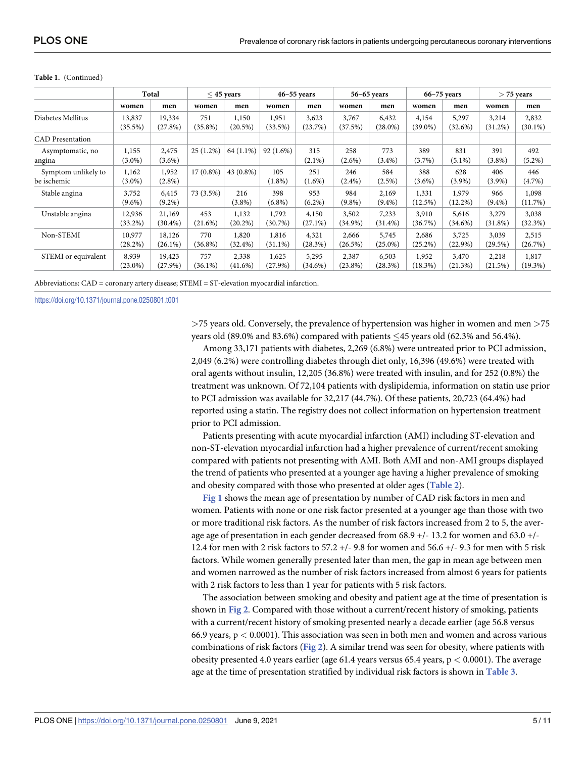|                                    | Total                |                      | $\leq$ 45 years   |                     | $46 - 55$ years     |                     | 56-65 years         |                     | $66 - 75$ years     |                     | $>$ 75 years        |                     |
|------------------------------------|----------------------|----------------------|-------------------|---------------------|---------------------|---------------------|---------------------|---------------------|---------------------|---------------------|---------------------|---------------------|
|                                    | women                | men                  | women             | men                 | women               | men                 | women               | men                 | women               | men                 | women               | men                 |
| Diabetes Mellitus                  | 13,837<br>$(35.5\%)$ | 19,334<br>(27.8%)    | 751<br>$(35.8\%)$ | 1,150<br>$(20.5\%)$ | 1,951<br>$(33.5\%)$ | 3,623<br>(23.7%)    | 3,767<br>(37.5%)    | 6,432<br>$(28.0\%)$ | 4,154<br>$(39.0\%)$ | 5,297<br>(32.6%)    | 3,214<br>$(31.2\%)$ | 2,832<br>$(30.1\%)$ |
| <b>CAD</b> Presentation            |                      |                      |                   |                     |                     |                     |                     |                     |                     |                     |                     |                     |
| Asymptomatic, no<br>angina         | 1,155<br>$(3.0\%)$   | 2,475<br>$(3.6\%)$   | $25(1.2\%)$       | 64 (1.1%)           | 92(1.6%)            | 315<br>$(2.1\%)$    | 258<br>$(2.6\%)$    | 773<br>$(3.4\%)$    | 389<br>$(3.7\%)$    | 831<br>$(5.1\%)$    | 391<br>$(3.8\%)$    | 492<br>$(5.2\%)$    |
| Symptom unlikely to<br>be ischemic | 1,162<br>$(3.0\%)$   | 1,952<br>$(2.8\%)$   | $17(0.8\%)$       | 43 (0.8%)           | 105<br>$(1.8\%)$    | 251<br>$(1.6\%)$    | 246<br>$(2.4\%)$    | 584<br>$(2.5\%)$    | 388<br>$(3.6\%)$    | 628<br>$(3.9\%)$    | 406<br>$(3.9\%)$    | 446<br>$(4.7\%)$    |
| Stable angina                      | 3,752<br>$(9.6\%)$   | 6,415<br>$(9.2\%)$   | 73 (3.5%)         | 216<br>$(3.8\%)$    | 398<br>$(6.8\%)$    | 953<br>$(6.2\%)$    | 984<br>$(9.8\%)$    | 2,169<br>$(9.4\%)$  | 1,331<br>$(12.5\%)$ | 1,979<br>$(12.2\%)$ | 966<br>$(9.4\%)$    | 1,098<br>(11.7%)    |
| Unstable angina                    | 12,936<br>$(33.2\%)$ | 21,169<br>$(30.4\%)$ | 453<br>$(21.6\%)$ | 1,132<br>$(20.2\%)$ | 1,792<br>$(30.7\%)$ | 4,150<br>$(27.1\%)$ | 3,502<br>$(34.9\%)$ | 7,233<br>$(31.4\%)$ | 3,910<br>$(36.7\%)$ | 5,616<br>(34.6%)    | 3,279<br>$(31.8\%)$ | 3,038<br>(32.3%)    |
| Non-STEMI                          | 10,977<br>$(28.2\%)$ | 18,126<br>$(26.1\%)$ | 770<br>$(36.8\%)$ | 1,820<br>$(32.4\%)$ | 1,816<br>$(31.1\%)$ | 4,321<br>(28.3%)    | 2,666<br>(26.5%)    | 5,745<br>$(25.0\%)$ | 2,686<br>$(25.2\%)$ | 3,725<br>$(22.9\%)$ | 3,039<br>(29.5%)    | 2,515<br>(26.7%)    |
| STEMI or equivalent                | 8,939<br>$(23.0\%)$  | 19,423<br>$(27.9\%)$ | 757<br>$(36.1\%)$ | 2,338<br>$(41.6\%)$ | 1,625<br>$(27.9\%)$ | 5,295<br>$(34.6\%)$ | 2,387<br>$(23.8\%)$ | 6,503<br>(28.3%)    | 1,952<br>(18.3%)    | 3,470<br>(21.3%)    | 2,218<br>(21.5%)    | 1,817<br>$(19.3\%)$ |

#### <span id="page-6-0"></span>**Table 1.** (Continued)

Abbreviations: CAD = coronary artery disease; STEMI = ST-elevation myocardial infarction.

<https://doi.org/10.1371/journal.pone.0250801.t001>

*>*75 years old. Conversely, the prevalence of hypertension was higher in women and men *>*75 years old (89.0% and 83.6%) compared with patients  $\leq$  45 years old (62.3% and 56.4%).

Among 33,171 patients with diabetes, 2,269 (6.8%) were untreated prior to PCI admission, 2,049 (6.2%) were controlling diabetes through diet only, 16,396 (49.6%) were treated with oral agents without insulin, 12,205 (36.8%) were treated with insulin, and for 252 (0.8%) the treatment was unknown. Of 72,104 patients with dyslipidemia, information on statin use prior to PCI admission was available for 32,217 (44.7%). Of these patients, 20,723 (64.4%) had reported using a statin. The registry does not collect information on hypertension treatment prior to PCI admission.

Patients presenting with acute myocardial infarction (AMI) including ST-elevation and non-ST-elevation myocardial infarction had a higher prevalence of current/recent smoking compared with patients not presenting with AMI. Both AMI and non-AMI groups displayed the trend of patients who presented at a younger age having a higher prevalence of smoking and obesity compared with those who presented at older ages (**[Table](#page-7-0) 2**).

**[Fig](#page-8-0) 1** shows the mean age of presentation by number of CAD risk factors in men and women. Patients with none or one risk factor presented at a younger age than those with two or more traditional risk factors. As the number of risk factors increased from 2 to 5, the average age of presentation in each gender decreased from 68.9 +/- 13.2 for women and 63.0 +/- 12.4 for men with 2 risk factors to 57.2 +/- 9.8 for women and 56.6 +/- 9.3 for men with 5 risk factors. While women generally presented later than men, the gap in mean age between men and women narrowed as the number of risk factors increased from almost 6 years for patients with 2 risk factors to less than 1 year for patients with 5 risk factors.

The association between smoking and obesity and patient age at the time of presentation is shown in **[Fig](#page-9-0) 2**. Compared with those without a current/recent history of smoking, patients with a current/recent history of smoking presented nearly a decade earlier (age 56.8 versus 66.9 years, p *<* 0.0001). This association was seen in both men and women and across various combinations of risk factors (**[Fig](#page-9-0) 2**). A similar trend was seen for obesity, where patients with obesity presented 4.0 years earlier (age 61.4 years versus 65.4 years, p *<* 0.0001). The average age at the time of presentation stratified by individual risk factors is shown in **[Table](#page-9-0) 3**.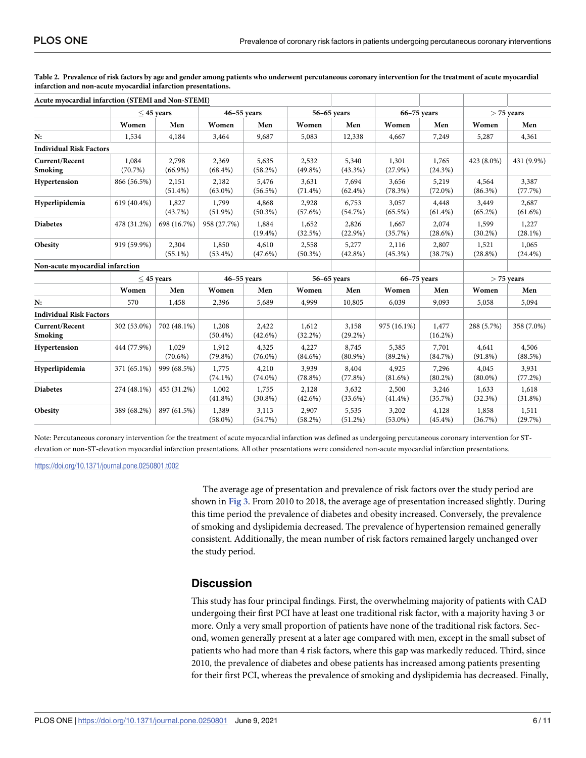| Acute myocardial infarction (STEMI and Non-STEMI) |                  |                     |                     |                     |                     |                     |                     |                     |                     |                     |
|---------------------------------------------------|------------------|---------------------|---------------------|---------------------|---------------------|---------------------|---------------------|---------------------|---------------------|---------------------|
|                                                   |                  | $\leq$ 45 years     | $46 - 55$ years     |                     | $56-65$ years       |                     | $66-75$ years       |                     | $>$ 75 years        |                     |
|                                                   | Women            | Men                 | Women               | Men                 | Women               | Men                 | Women               | Men                 | Women               | Men                 |
| N:                                                | 1,534            | 4,184               | 3,464               | 9,687               | 5,083               | 12,338              | 4,667               | 7,249               | 5,287               | 4,361               |
| <b>Individual Risk Factors</b>                    |                  |                     |                     |                     |                     |                     |                     |                     |                     |                     |
| <b>Current/Recent</b><br>Smoking                  | 1,084<br>(70.7%) | 2,798<br>$(66.9\%)$ | 2,369<br>$(68.4\%)$ | 5,635<br>(58.2%)    | 2,532<br>$(49.8\%)$ | 5,340<br>$(43.3\%)$ | 1,301<br>$(27.9\%)$ | 1,765<br>(24.3%)    | 423 (8.0%)          | 431 (9.9%)          |
| Hypertension                                      | 866 (56.5%)      | 2,151<br>$(51.4\%)$ | 2,182<br>$(63.0\%)$ | 5,476<br>$(56.5\%)$ | 3,631<br>$(71.4\%)$ | 7,694<br>$(62.4\%)$ | 3,656<br>$(78.3\%)$ | 5,219<br>$(72.0\%)$ | 4,564<br>$(86.3\%)$ | 3,387<br>(77.7%)    |
| Hyperlipidemia                                    | 619 (40.4%)      | 1,827<br>(43.7%)    | 1,799<br>$(51.9\%)$ | 4,868<br>$(50.3\%)$ | 2,928<br>(57.6%)    | 6,753<br>(54.7%)    | 3,057<br>$(65.5\%)$ | 4,448<br>$(61.4\%)$ | 3,449<br>$(65.2\%)$ | 2,687<br>$(61.6\%)$ |
| <b>Diabetes</b>                                   | 478 (31.2%)      | 698 (16.7%)         | 958 (27.7%)         | 1,884<br>$(19.4\%)$ | 1,652<br>(32.5%)    | 2,826<br>$(22.9\%)$ | 1,667<br>(35.7%)    | 2,074<br>(28.6%)    | 1,599<br>$(30.2\%)$ | 1,227<br>$(28.1\%)$ |
| Obesity                                           | 919 (59.9%)      | 2,304<br>$(55.1\%)$ | 1,850<br>$(53.4\%)$ | 4,610<br>$(47.6\%)$ | 2,558<br>$(50.3\%)$ | 5,277<br>$(42.8\%)$ | 2,116<br>$(45.3\%)$ | 2,807<br>(38.7%)    | 1,521<br>$(28.8\%)$ | 1,065<br>$(24.4\%)$ |
| Non-acute myocardial infarction                   |                  |                     |                     |                     |                     |                     |                     |                     |                     |                     |
|                                                   |                  | $\leq$ 45 years     |                     | $46 - 55$ years     |                     | 56-65 years         |                     | $66-75$ years       |                     | $>$ 75 years        |
|                                                   | Women            | Men                 | Women               | Men                 | Women               | Men                 | Women               | Men                 | Women               | Men                 |
| N:                                                | 570              | 1,458               | 2,396               | 5,689               | 4,999               | 10,805              | 6,039               | 9,093               | 5,058               | 5,094               |
| <b>Individual Risk Factors</b>                    |                  |                     |                     |                     |                     |                     |                     |                     |                     |                     |
| <b>Current/Recent</b><br>Smoking                  | 302 (53.0%)      | 702 (48.1%)         | 1,208<br>$(50.4\%)$ | 2,422<br>$(42.6\%)$ | 1,612<br>$(32.2\%)$ | 3,158<br>$(29.2\%)$ | 975 (16.1%)         | 1,477<br>$(16.2\%)$ | 288 (5.7%)          | 358 (7.0%)          |
| Hypertension                                      | 444 (77.9%)      | 1,029<br>$(70.6\%)$ | 1,912<br>$(79.8\%)$ | 4,325<br>$(76.0\%)$ | 4,227<br>$(84.6\%)$ | 8,745<br>$(80.9\%)$ | 5,385<br>$(89.2\%)$ | 7,701<br>(84.7%)    | 4,641<br>$(91.8\%)$ | 4,506<br>(88.5%)    |
| Hyperlipidemia                                    | 371 (65.1%)      | 999 (68.5%)         | 1,775<br>$(74.1\%)$ | 4,210<br>$(74.0\%)$ | 3,939<br>$(78.8\%)$ | 8,404<br>(77.8%)    | 4,925<br>$(81.6\%)$ | 7,296<br>$(80.2\%)$ | 4,045<br>$(80.0\%)$ | 3,931<br>$(77.2\%)$ |
| <b>Diabetes</b>                                   | 274 (48.1%)      | 455 (31.2%)         | 1,002<br>(41.8%)    | 1,755<br>$(30.8\%)$ | 2,128<br>(42.6%)    | 3,632<br>(33.6%)    | 2,500<br>$(41.4\%)$ | 3,246<br>(35.7%)    | 1,633<br>(32.3%)    | 1,618<br>(31.8%)    |
| Obesity                                           | 389 (68.2%)      | 897 (61.5%)         | 1,389<br>$(58.0\%)$ | 3,113<br>(54.7%)    | 2,907<br>$(58.2\%)$ | 5,535<br>(51.2%)    | 3,202<br>$(53.0\%)$ | 4,128<br>$(45.4\%)$ | 1,858<br>(36.7%)    | 1,511<br>(29.7%)    |

<span id="page-7-0"></span>[Table](#page-6-0) 2. Prevalence of risk factors by age and gender among patients who underwent percutaneous coronary intervention for the treatment of acute myocardial **infarction and non-acute myocardial infarction presentations.**

Note: Percutaneous coronary intervention for the treatment of acute myocardial infarction was defined as undergoing percutaneous coronary intervention for STelevation or non-ST-elevation myocardial infarction presentations. All other presentations were considered non-acute myocardial infarction presentations.

<https://doi.org/10.1371/journal.pone.0250801.t002>

The average age of presentation and prevalence of risk factors over the study period are shown in **[Fig](#page-10-0) 3**. From 2010 to 2018, the average age of presentation increased slightly. During this time period the prevalence of diabetes and obesity increased. Conversely, the prevalence of smoking and dyslipidemia decreased. The prevalence of hypertension remained generally consistent. Additionally, the mean number of risk factors remained largely unchanged over the study period.

#### **Discussion**

This study has four principal findings. First, the overwhelming majority of patients with CAD undergoing their first PCI have at least one traditional risk factor, with a majority having 3 or more. Only a very small proportion of patients have none of the traditional risk factors. Second, women generally present at a later age compared with men, except in the small subset of patients who had more than 4 risk factors, where this gap was markedly reduced. Third, since 2010, the prevalence of diabetes and obese patients has increased among patients presenting for their first PCI, whereas the prevalence of smoking and dyslipidemia has decreased. Finally,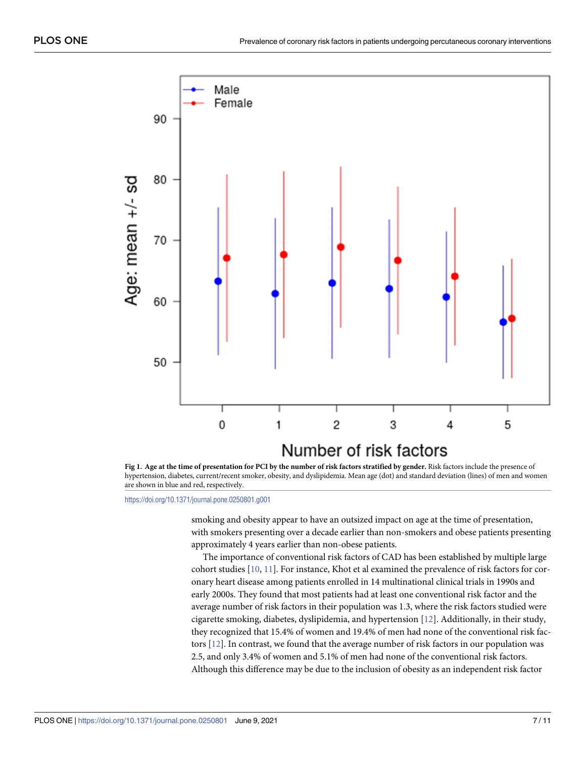<span id="page-8-0"></span>

[Fig](#page-6-0) 1. Age at the time of presentation for PCI by the number of risk factors stratified by gender. Risk factors include the presence of hypertension, diabetes, current/recent smoker, obesity, and dyslipidemia. Mean age (dot) and standard deviation (lines) of men and women are shown in blue and red, respectively.

<https://doi.org/10.1371/journal.pone.0250801.g001>

smoking and obesity appear to have an outsized impact on age at the time of presentation, with smokers presenting over a decade earlier than non-smokers and obese patients presenting approximately 4 years earlier than non-obese patients.

The importance of conventional risk factors of CAD has been established by multiple large cohort studies [[10](#page-12-0), [11](#page-12-0)]. For instance, Khot et al examined the prevalence of risk factors for coronary heart disease among patients enrolled in 14 multinational clinical trials in 1990s and early 2000s. They found that most patients had at least one conventional risk factor and the average number of risk factors in their population was 1.3, where the risk factors studied were cigarette smoking, diabetes, dyslipidemia, and hypertension [\[12\]](#page-12-0). Additionally, in their study, they recognized that 15.4% of women and 19.4% of men had none of the conventional risk factors [\[12\]](#page-12-0). In contrast, we found that the average number of risk factors in our population was 2.5, and only 3.4% of women and 5.1% of men had none of the conventional risk factors. Although this difference may be due to the inclusion of obesity as an independent risk factor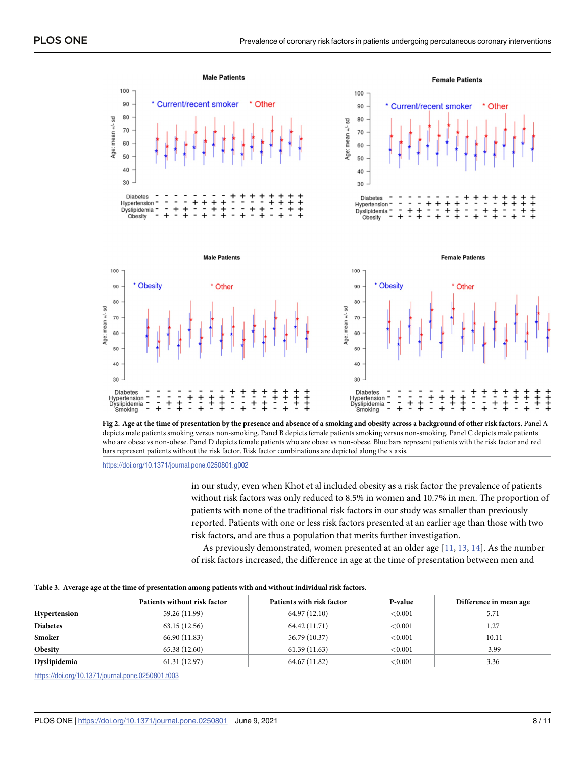<span id="page-9-0"></span>

[Fig](#page-6-0) 2. Age at the time of presentation by the presence and absence of a smoking and obesity across a background of other risk factors. Panel A depicts male patients smoking versus non-smoking. Panel B depicts female patients smoking versus non-smoking. Panel C depicts male patients who are obese vs non-obese. Panel D depicts female patients who are obese vs non-obese. Blue bars represent patients with the risk factor and red bars represent patients without the risk factor. Risk factor combinations are depicted along the x axis.

<https://doi.org/10.1371/journal.pone.0250801.g002>

in our study, even when Khot et al included obesity as a risk factor the prevalence of patients without risk factors was only reduced to 8.5% in women and 10.7% in men. The proportion of patients with none of the traditional risk factors in our study was smaller than previously reported. Patients with one or less risk factors presented at an earlier age than those with two risk factors, and are thus a population that merits further investigation.

As previously demonstrated, women presented at an older age  $[11, 13, 14]$  $[11, 13, 14]$  $[11, 13, 14]$  $[11, 13, 14]$  $[11, 13, 14]$  $[11, 13, 14]$ . As the number of risk factors increased, the difference in age at the time of presentation between men and

|  |  |  |  | Table 3. Average age at the time of presentation among patients with and without individual risk factors. |  |
|--|--|--|--|-----------------------------------------------------------------------------------------------------------|--|
|--|--|--|--|-----------------------------------------------------------------------------------------------------------|--|

|                 | Patients without risk factor | Patients with risk factor | P-value    | Difference in mean age |
|-----------------|------------------------------|---------------------------|------------|------------------------|
| Hypertension    | 59.26 (11.99)                | 64.97 (12.10)             | ${<}0.001$ | 5.71                   |
| <b>Diabetes</b> | 63.15(12.56)                 | 64.42 (11.71)             | ${<}0.001$ | 1.27                   |
| Smoker          | 66.90 (11.83)                | 56.79 (10.37)             | ${<}0.001$ | $-10.11$               |
| Obesity         | 65.38 (12.60)                | 61.39(11.63)              | < 0.001    | $-3.99$                |
| Dyslipidemia    | 61.31(12.97)                 | 64.67 (11.82)             | ${<}0.001$ | 3.36                   |

<https://doi.org/10.1371/journal.pone.0250801.t003>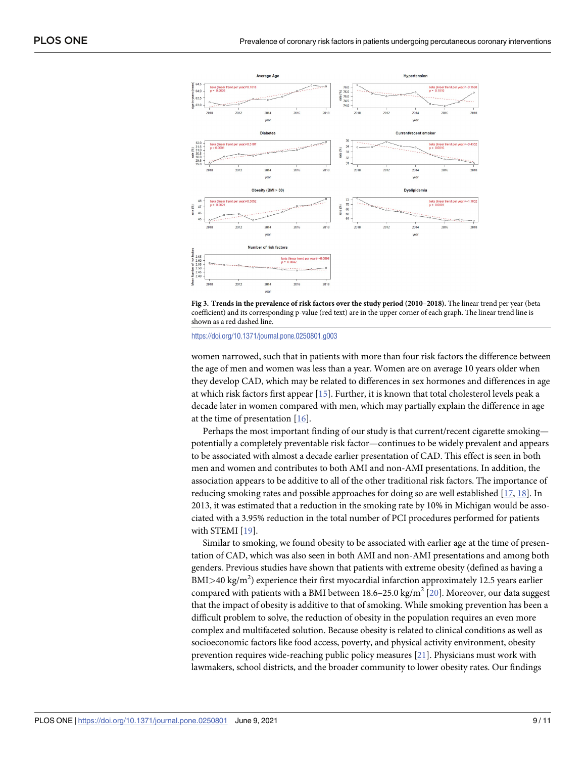<span id="page-10-0"></span>



<https://doi.org/10.1371/journal.pone.0250801.g003>

women narrowed, such that in patients with more than four risk factors the difference between the age of men and women was less than a year. Women are on average 10 years older when they develop CAD, which may be related to differences in sex hormones and differences in age at which risk factors first appear [[15](#page-12-0)]. Further, it is known that total cholesterol levels peak a decade later in women compared with men, which may partially explain the difference in age at the time of presentation [\[16\]](#page-12-0).

Perhaps the most important finding of our study is that current/recent cigarette smoking potentially a completely preventable risk factor—continues to be widely prevalent and appears to be associated with almost a decade earlier presentation of CAD. This effect is seen in both men and women and contributes to both AMI and non-AMI presentations. In addition, the association appears to be additive to all of the other traditional risk factors. The importance of reducing smoking rates and possible approaches for doing so are well established [[17](#page-12-0), [18](#page-12-0)]. In 2013, it was estimated that a reduction in the smoking rate by 10% in Michigan would be associated with a 3.95% reduction in the total number of PCI procedures performed for patients with STEMI [\[19\]](#page-12-0).

Similar to smoking, we found obesity to be associated with earlier age at the time of presentation of CAD, which was also seen in both AMI and non-AMI presentations and among both genders. Previous studies have shown that patients with extreme obesity (defined as having a BMI*>*40 kg/m<sup>2</sup> ) experience their first myocardial infarction approximately 12.5 years earlier compared with patients with a BMI between 18.6–25.0 kg/m<sup>2</sup> [[20](#page-12-0)]. Moreover, our data suggest that the impact of obesity is additive to that of smoking. While smoking prevention has been a difficult problem to solve, the reduction of obesity in the population requires an even more complex and multifaceted solution. Because obesity is related to clinical conditions as well as socioeconomic factors like food access, poverty, and physical activity environment, obesity prevention requires wide-reaching public policy measures [\[21\]](#page-12-0). Physicians must work with lawmakers, school districts, and the broader community to lower obesity rates. Our findings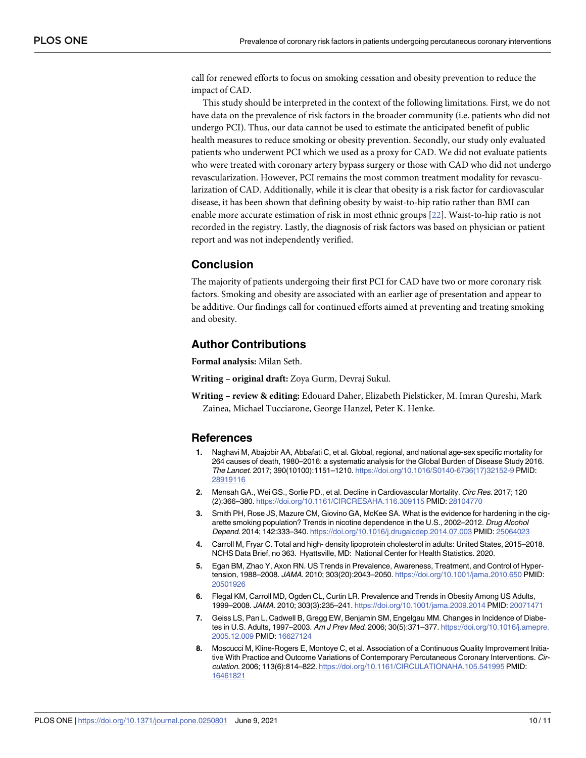<span id="page-11-0"></span>call for renewed efforts to focus on smoking cessation and obesity prevention to reduce the impact of CAD.

This study should be interpreted in the context of the following limitations. First, we do not have data on the prevalence of risk factors in the broader community (i.e. patients who did not undergo PCI). Thus, our data cannot be used to estimate the anticipated benefit of public health measures to reduce smoking or obesity prevention. Secondly, our study only evaluated patients who underwent PCI which we used as a proxy for CAD. We did not evaluate patients who were treated with coronary artery bypass surgery or those with CAD who did not undergo revascularization. However, PCI remains the most common treatment modality for revascularization of CAD. Additionally, while it is clear that obesity is a risk factor for cardiovascular disease, it has been shown that defining obesity by waist-to-hip ratio rather than BMI can enable more accurate estimation of risk in most ethnic groups [\[22\]](#page-12-0). Waist-to-hip ratio is not recorded in the registry. Lastly, the diagnosis of risk factors was based on physician or patient report and was not independently verified.

#### **Conclusion**

The majority of patients undergoing their first PCI for CAD have two or more coronary risk factors. Smoking and obesity are associated with an earlier age of presentation and appear to be additive. Our findings call for continued efforts aimed at preventing and treating smoking and obesity.

#### **Author Contributions**

**Formal analysis:** Milan Seth.

**Writing – original draft:** Zoya Gurm, Devraj Sukul.

**Writing – review & editing:** Edouard Daher, Elizabeth Pielsticker, M. Imran Qureshi, Mark Zainea, Michael Tucciarone, George Hanzel, Peter K. Henke.

#### **References**

- **[1](#page-3-0).** Naghavi M, Abajobir AA, Abbafati C, et al. Global, regional, and national age-sex specific mortality for 264 causes of death, 1980–2016: a systematic analysis for the Global Burden of Disease Study 2016. The Lancet. 2017; 390(10100):1151–1210. [https://doi.org/10.1016/S0140-6736\(17\)32152-9](https://doi.org/10.1016/S0140-6736%2817%2932152-9) PMID: [28919116](http://www.ncbi.nlm.nih.gov/pubmed/28919116)
- **[2](#page-3-0).** Mensah GA., Wei GS., Sorlie PD., et al. Decline in Cardiovascular Mortality. Circ Res. 2017; 120 (2):366–380. <https://doi.org/10.1161/CIRCRESAHA.116.309115> PMID: [28104770](http://www.ncbi.nlm.nih.gov/pubmed/28104770)
- **[3](#page-3-0).** Smith PH, Rose JS, Mazure CM, Giovino GA, McKee SA. What is the evidence for hardening in the cigarette smoking population? Trends in nicotine dependence in the U.S., 2002–2012. Drug Alcohol Depend. 2014; 142:333–340. <https://doi.org/10.1016/j.drugalcdep.2014.07.003> PMID: [25064023](http://www.ncbi.nlm.nih.gov/pubmed/25064023)
- **[4](#page-3-0).** Carroll M, Fryar C. Total and high- density lipoprotein cholesterol in adults: United States, 2015–2018. NCHS Data Brief, no 363. Hyattsville, MD: National Center for Health Statistics. 2020.
- **[5](#page-3-0).** Egan BM, Zhao Y, Axon RN. US Trends in Prevalence, Awareness, Treatment, and Control of Hypertension, 1988–2008. JAMA. 2010; 303(20):2043–2050. <https://doi.org/10.1001/jama.2010.650> PMID: [20501926](http://www.ncbi.nlm.nih.gov/pubmed/20501926)
- **[6](#page-3-0).** Flegal KM, Carroll MD, Ogden CL, Curtin LR. Prevalence and Trends in Obesity Among US Adults, 1999–2008. JAMA. 2010; 303(3):235–241. <https://doi.org/10.1001/jama.2009.2014> PMID: [20071471](http://www.ncbi.nlm.nih.gov/pubmed/20071471)
- **[7](#page-3-0).** Geiss LS, Pan L, Cadwell B, Gregg EW, Benjamin SM, Engelgau MM. Changes in Incidence of Diabetes in U.S. Adults, 1997–2003. Am J Prev Med. 2006; 30(5):371–377. [https://doi.org/10.1016/j.amepre.](https://doi.org/10.1016/j.amepre.2005.12.009) [2005.12.009](https://doi.org/10.1016/j.amepre.2005.12.009) PMID: [16627124](http://www.ncbi.nlm.nih.gov/pubmed/16627124)
- **[8](#page-3-0).** Moscucci M, Kline-Rogers E, Montoye C, et al. Association of a Continuous Quality Improvement Initiative With Practice and Outcome Variations of Contemporary Percutaneous Coronary Interventions. Circulation. 2006; 113(6):814–822. <https://doi.org/10.1161/CIRCULATIONAHA.105.541995> PMID: [16461821](http://www.ncbi.nlm.nih.gov/pubmed/16461821)